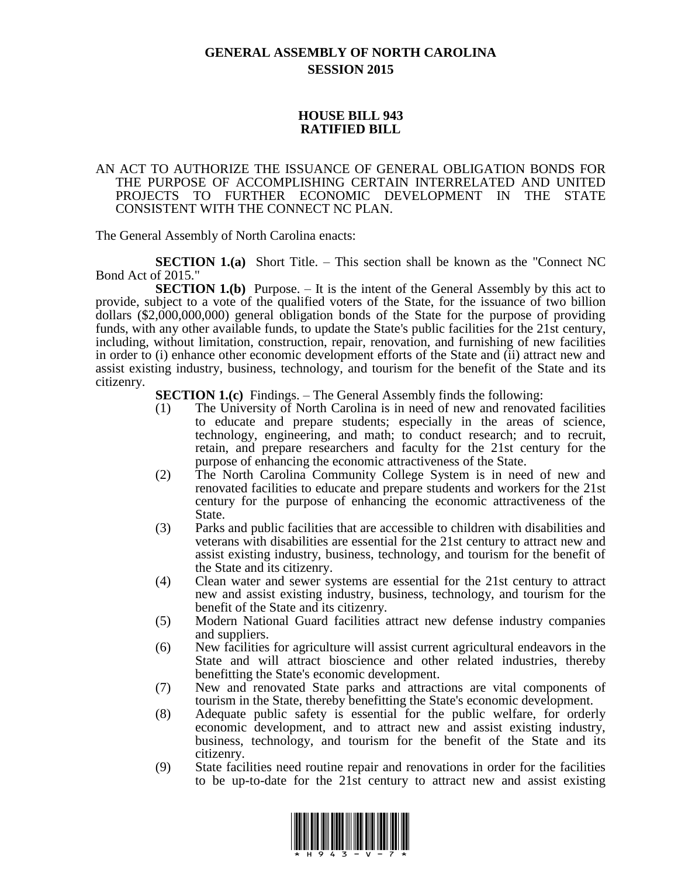# **GENERAL ASSEMBLY OF NORTH CAROLINA SESSION 2015**

## **HOUSE BILL 943 RATIFIED BILL**

### AN ACT TO AUTHORIZE THE ISSUANCE OF GENERAL OBLIGATION BONDS FOR THE PURPOSE OF ACCOMPLISHING CERTAIN INTERRELATED AND UNITED PROJECTS TO FURTHER ECONOMIC DEVELOPMENT IN THE STATE CONSISTENT WITH THE CONNECT NC PLAN.

The General Assembly of North Carolina enacts:

**SECTION 1.(a)** Short Title. – This section shall be known as the "Connect NC Bond Act of 2015."

**SECTION 1.(b)** Purpose. – It is the intent of the General Assembly by this act to provide, subject to a vote of the qualified voters of the State, for the issuance of two billion dollars (\$2,000,000,000) general obligation bonds of the State for the purpose of providing funds, with any other available funds, to update the State's public facilities for the 21st century, including, without limitation, construction, repair, renovation, and furnishing of new facilities in order to (i) enhance other economic development efforts of the State and (ii) attract new and assist existing industry, business, technology, and tourism for the benefit of the State and its citizenry.

**SECTION 1.(c)** Findings. – The General Assembly finds the following:

- (1) The University of North Carolina is in need of new and renovated facilities to educate and prepare students; especially in the areas of science, technology, engineering, and math; to conduct research; and to recruit, retain, and prepare researchers and faculty for the 21st century for the purpose of enhancing the economic attractiveness of the State.
- (2) The North Carolina Community College System is in need of new and renovated facilities to educate and prepare students and workers for the 21st century for the purpose of enhancing the economic attractiveness of the State.
- (3) Parks and public facilities that are accessible to children with disabilities and veterans with disabilities are essential for the 21st century to attract new and assist existing industry, business, technology, and tourism for the benefit of the State and its citizenry.
- (4) Clean water and sewer systems are essential for the 21st century to attract new and assist existing industry, business, technology, and tourism for the benefit of the State and its citizenry.
- (5) Modern National Guard facilities attract new defense industry companies and suppliers.
- (6) New facilities for agriculture will assist current agricultural endeavors in the State and will attract bioscience and other related industries, thereby benefitting the State's economic development.
- (7) New and renovated State parks and attractions are vital components of tourism in the State, thereby benefitting the State's economic development.
- (8) Adequate public safety is essential for the public welfare, for orderly economic development, and to attract new and assist existing industry, business, technology, and tourism for the benefit of the State and its citizenry.
- (9) State facilities need routine repair and renovations in order for the facilities to be up-to-date for the 21st century to attract new and assist existing

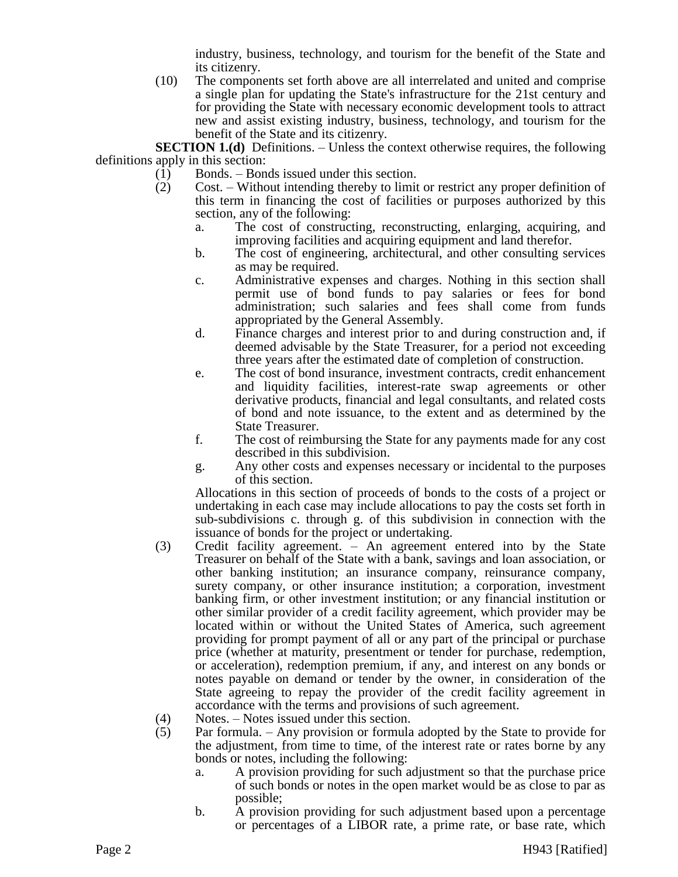industry, business, technology, and tourism for the benefit of the State and its citizenry.

(10) The components set forth above are all interrelated and united and comprise a single plan for updating the State's infrastructure for the 21st century and for providing the State with necessary economic development tools to attract new and assist existing industry, business, technology, and tourism for the benefit of the State and its citizenry.

**SECTION 1.(d)** Definitions. – Unless the context otherwise requires, the following definitions apply in this section:

- (1) Bonds. Bonds issued under this section.
- (2) Cost. Without intending thereby to limit or restrict any proper definition of this term in financing the cost of facilities or purposes authorized by this section, any of the following:
	- a. The cost of constructing, reconstructing, enlarging, acquiring, and improving facilities and acquiring equipment and land therefor.
	- b. The cost of engineering, architectural, and other consulting services as may be required.
	- c. Administrative expenses and charges. Nothing in this section shall permit use of bond funds to pay salaries or fees for bond administration; such salaries and fees shall come from funds appropriated by the General Assembly.
	- d. Finance charges and interest prior to and during construction and, if deemed advisable by the State Treasurer, for a period not exceeding three years after the estimated date of completion of construction.
	- e. The cost of bond insurance, investment contracts, credit enhancement and liquidity facilities, interest-rate swap agreements or other derivative products, financial and legal consultants, and related costs of bond and note issuance, to the extent and as determined by the State Treasurer.
	- f. The cost of reimbursing the State for any payments made for any cost described in this subdivision.
	- g. Any other costs and expenses necessary or incidental to the purposes of this section.

Allocations in this section of proceeds of bonds to the costs of a project or undertaking in each case may include allocations to pay the costs set forth in sub-subdivisions c. through g. of this subdivision in connection with the issuance of bonds for the project or undertaking.

- (3) Credit facility agreement. An agreement entered into by the State Treasurer on behalf of the State with a bank, savings and loan association, or other banking institution; an insurance company, reinsurance company, surety company, or other insurance institution; a corporation, investment banking firm, or other investment institution; or any financial institution or other similar provider of a credit facility agreement, which provider may be located within or without the United States of America, such agreement providing for prompt payment of all or any part of the principal or purchase price (whether at maturity, presentment or tender for purchase, redemption, or acceleration), redemption premium, if any, and interest on any bonds or notes payable on demand or tender by the owner, in consideration of the State agreeing to repay the provider of the credit facility agreement in accordance with the terms and provisions of such agreement.
- (4) Notes. Notes issued under this section.
- (5) Par formula. Any provision or formula adopted by the State to provide for the adjustment, from time to time, of the interest rate or rates borne by any bonds or notes, including the following:
	- a. A provision providing for such adjustment so that the purchase price of such bonds or notes in the open market would be as close to par as possible;
	- b. A provision providing for such adjustment based upon a percentage or percentages of a LIBOR rate, a prime rate, or base rate, which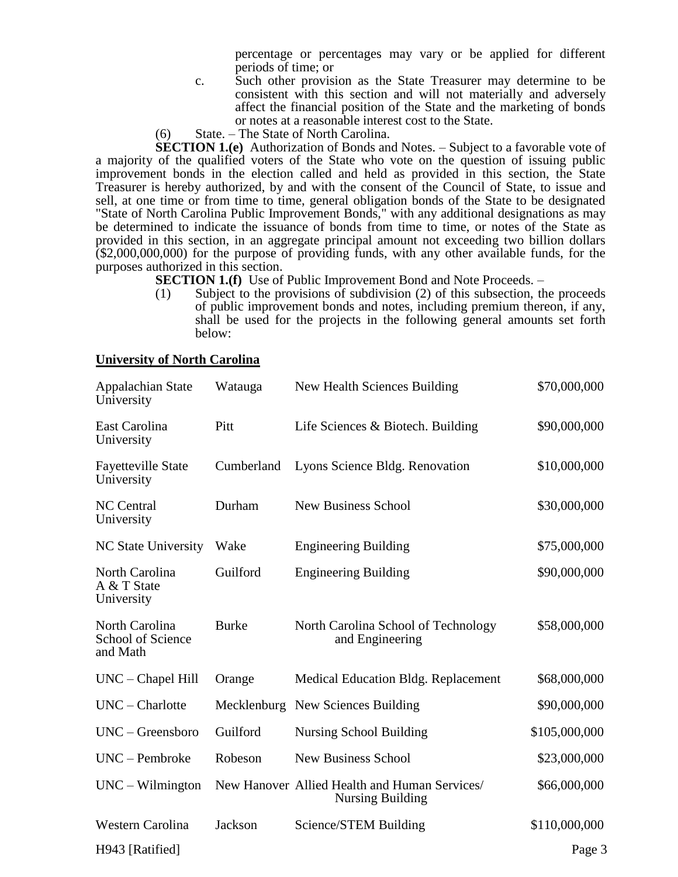percentage or percentages may vary or be applied for different periods of time; or

- c. Such other provision as the State Treasurer may determine to be consistent with this section and will not materially and adversely affect the financial position of the State and the marketing of bonds or notes at a reasonable interest cost to the State.
- (6) State. The State of North Carolina.

**SECTION 1.(e)** Authorization of Bonds and Notes. – Subject to a favorable vote of a majority of the qualified voters of the State who vote on the question of issuing public improvement bonds in the election called and held as provided in this section, the State Treasurer is hereby authorized, by and with the consent of the Council of State, to issue and sell, at one time or from time to time, general obligation bonds of the State to be designated "State of North Carolina Public Improvement Bonds," with any additional designations as may be determined to indicate the issuance of bonds from time to time, or notes of the State as provided in this section, in an aggregate principal amount not exceeding two billion dollars (\$2,000,000,000) for the purpose of providing funds, with any other available funds, for the purposes authorized in this section.

**SECTION 1.(f)** Use of Public Improvement Bond and Note Proceeds. –

(1) Subject to the provisions of subdivision (2) of this subsection, the proceeds of public improvement bonds and notes, including premium thereon, if any, shall be used for the projects in the following general amounts set forth below:

### **University of North Carolina**

| Appalachian State<br>University                 | Watauga      | New Health Sciences Building                                             | \$70,000,000  |
|-------------------------------------------------|--------------|--------------------------------------------------------------------------|---------------|
| East Carolina<br>University                     | Pitt         | Life Sciences & Biotech. Building                                        | \$90,000,000  |
| <b>Fayetteville State</b><br>University         | Cumberland   | Lyons Science Bldg. Renovation                                           | \$10,000,000  |
| <b>NC</b> Central<br>University                 | Durham       | <b>New Business School</b>                                               | \$30,000,000  |
| <b>NC State University</b>                      | Wake         | <b>Engineering Building</b>                                              | \$75,000,000  |
| North Carolina<br>A & T State<br>University     | Guilford     | <b>Engineering Building</b>                                              | \$90,000,000  |
| North Carolina<br>School of Science<br>and Math | <b>Burke</b> | North Carolina School of Technology<br>and Engineering                   | \$58,000,000  |
| $UNC - Chapel Hill$                             | Orange       | Medical Education Bldg. Replacement                                      | \$68,000,000  |
| $UNC - Charlotte$                               |              | Mecklenburg New Sciences Building                                        | \$90,000,000  |
| $UNC - Greensboro$                              | Guilford     | <b>Nursing School Building</b>                                           | \$105,000,000 |
| $UNC - Pembroke$                                | Robeson      | <b>New Business School</b>                                               | \$23,000,000  |
| $UNC - Vilmington$                              |              | New Hanover Allied Health and Human Services/<br><b>Nursing Building</b> | \$66,000,000  |
| Western Carolina                                | Jackson      | Science/STEM Building                                                    | \$110,000,000 |
| H943 [Ratified]                                 |              |                                                                          | Page 3        |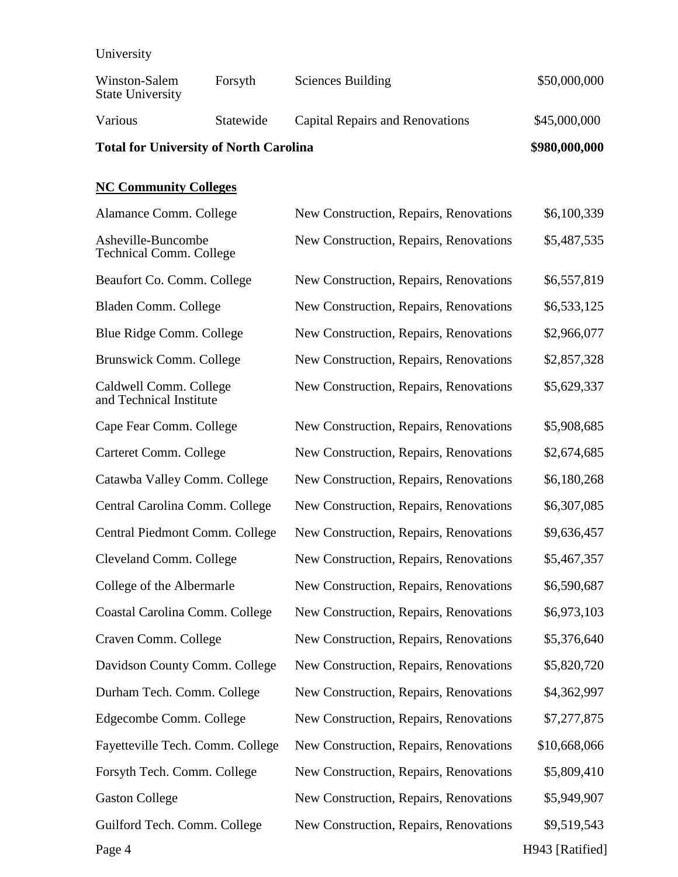**University** 

| <b>UMIT VERSITY</b>                                  |               |                                        |              |
|------------------------------------------------------|---------------|----------------------------------------|--------------|
| Winston-Salem<br><b>State University</b>             | Forsyth       | Sciences Building                      | \$50,000,000 |
| Various                                              | Statewide     | Capital Repairs and Renovations        | \$45,000,000 |
| <b>Total for University of North Carolina</b>        | \$980,000,000 |                                        |              |
| <b>NC Community Colleges</b>                         |               |                                        |              |
| Alamance Comm. College                               |               | New Construction, Repairs, Renovations | \$6,100,339  |
| Asheville-Buncombe<br><b>Technical Comm. College</b> |               | New Construction, Repairs, Renovations | \$5,487,535  |
| Beaufort Co. Comm. College                           |               | New Construction, Repairs, Renovations | \$6,557,819  |
| Bladen Comm. College                                 |               | New Construction, Repairs, Renovations | \$6,533,125  |
| Blue Ridge Comm. College                             |               | New Construction, Repairs, Renovations | \$2,966,077  |
| Brunswick Comm. College                              |               | New Construction, Repairs, Renovations | \$2,857,328  |
| Caldwell Comm. College<br>and Technical Institute    |               | New Construction, Repairs, Renovations | \$5,629,337  |

Cape Fear Comm. College New Construction, Repairs, Renovations  $$5,908,685$ 

| Carteret Comm. College         | New Construction, Repairs, Renovations | \$2,674,685 |
|--------------------------------|----------------------------------------|-------------|
| Catawba Valley Comm. College   | New Construction, Repairs, Renovations | \$6,180,268 |
| Central Carolina Comm. College | New Construction, Repairs, Renovations | \$6,307,085 |
| Central Piedmont Comm. College | New Construction, Repairs, Renovations | \$9,636,457 |
| Cleveland Comm. College        | New Construction, Repairs, Renovations | \$5,467,357 |
| College of the Albermarle      | New Construction, Repairs, Renovations | \$6,590,687 |
| Coastal Carolina Comm. College | New Construction, Repairs, Renovations | \$6,973,103 |
| Craven Comm. College           | New Construction, Repairs, Renovations | \$5,376,640 |
|                                |                                        |             |

| Davidson County Comm. College | New Construction, Repairs, Renovations | \$5,820,720 |
|-------------------------------|----------------------------------------|-------------|
|                               |                                        |             |

Durham Tech. Comm. College New Construction, Repairs, Renovations \$4,362,997

Edgecombe Comm. College New Construction, Repairs, Renovations  $$7,277,875$ 

Fayetteville Tech. Comm. College New Construction, Repairs, Renovations \$10,668,066 Forsyth Tech. Comm. College New Construction, Repairs, Renovations \$5,809,410 Gaston College New Construction, Repairs, Renovations  $$5,949,907$ Guilford Tech. Comm. College New Construction, Repairs, Renovations \$9,519,543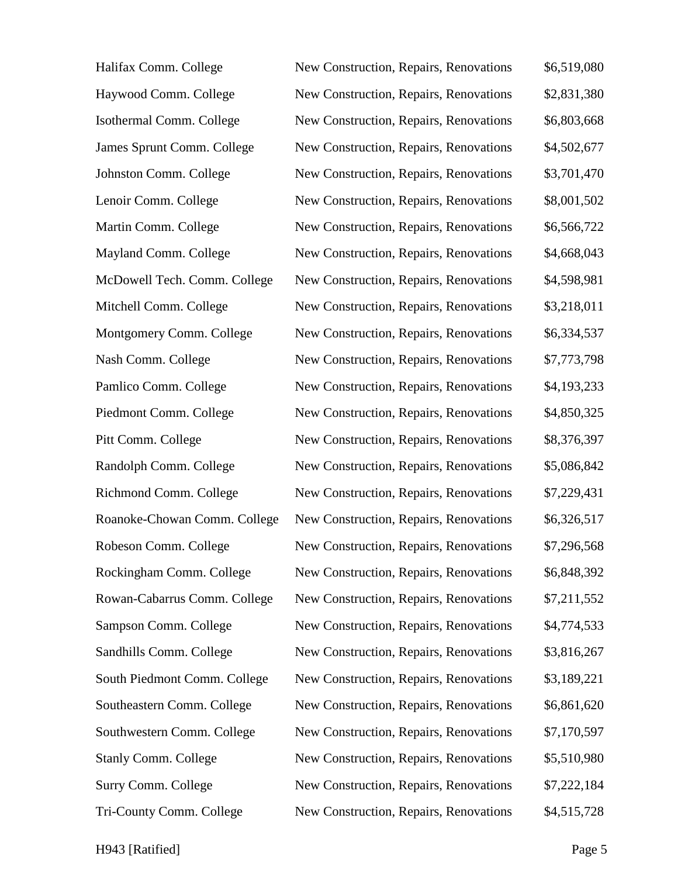| Halifax Comm. College        | New Construction, Repairs, Renovations | \$6,519,080 |
|------------------------------|----------------------------------------|-------------|
| Haywood Comm. College        | New Construction, Repairs, Renovations | \$2,831,380 |
| Isothermal Comm. College     | New Construction, Repairs, Renovations | \$6,803,668 |
| James Sprunt Comm. College   | New Construction, Repairs, Renovations | \$4,502,677 |
| Johnston Comm. College       | New Construction, Repairs, Renovations | \$3,701,470 |
| Lenoir Comm. College         | New Construction, Repairs, Renovations | \$8,001,502 |
| Martin Comm. College         | New Construction, Repairs, Renovations | \$6,566,722 |
| Mayland Comm. College        | New Construction, Repairs, Renovations | \$4,668,043 |
| McDowell Tech. Comm. College | New Construction, Repairs, Renovations | \$4,598,981 |
| Mitchell Comm. College       | New Construction, Repairs, Renovations | \$3,218,011 |
| Montgomery Comm. College     | New Construction, Repairs, Renovations | \$6,334,537 |
| Nash Comm. College           | New Construction, Repairs, Renovations | \$7,773,798 |
| Pamlico Comm. College        | New Construction, Repairs, Renovations | \$4,193,233 |
| Piedmont Comm. College       | New Construction, Repairs, Renovations | \$4,850,325 |
| Pitt Comm. College           | New Construction, Repairs, Renovations | \$8,376,397 |
| Randolph Comm. College       | New Construction, Repairs, Renovations | \$5,086,842 |
| Richmond Comm. College       | New Construction, Repairs, Renovations | \$7,229,431 |
| Roanoke-Chowan Comm. College | New Construction, Repairs, Renovations | \$6,326,517 |
| Robeson Comm. College        | New Construction, Repairs, Renovations | \$7,296,568 |
| Rockingham Comm. College     | New Construction, Repairs, Renovations | \$6,848,392 |
| Rowan-Cabarrus Comm. College | New Construction, Repairs, Renovations | \$7,211,552 |
| Sampson Comm. College        | New Construction, Repairs, Renovations | \$4,774,533 |
| Sandhills Comm. College      | New Construction, Repairs, Renovations | \$3,816,267 |
| South Piedmont Comm. College | New Construction, Repairs, Renovations | \$3,189,221 |
| Southeastern Comm. College   | New Construction, Repairs, Renovations | \$6,861,620 |
| Southwestern Comm. College   | New Construction, Repairs, Renovations | \$7,170,597 |
| <b>Stanly Comm. College</b>  | New Construction, Repairs, Renovations | \$5,510,980 |
| Surry Comm. College          | New Construction, Repairs, Renovations | \$7,222,184 |
| Tri-County Comm. College     | New Construction, Repairs, Renovations | \$4,515,728 |

H943 [Ratified] Page 5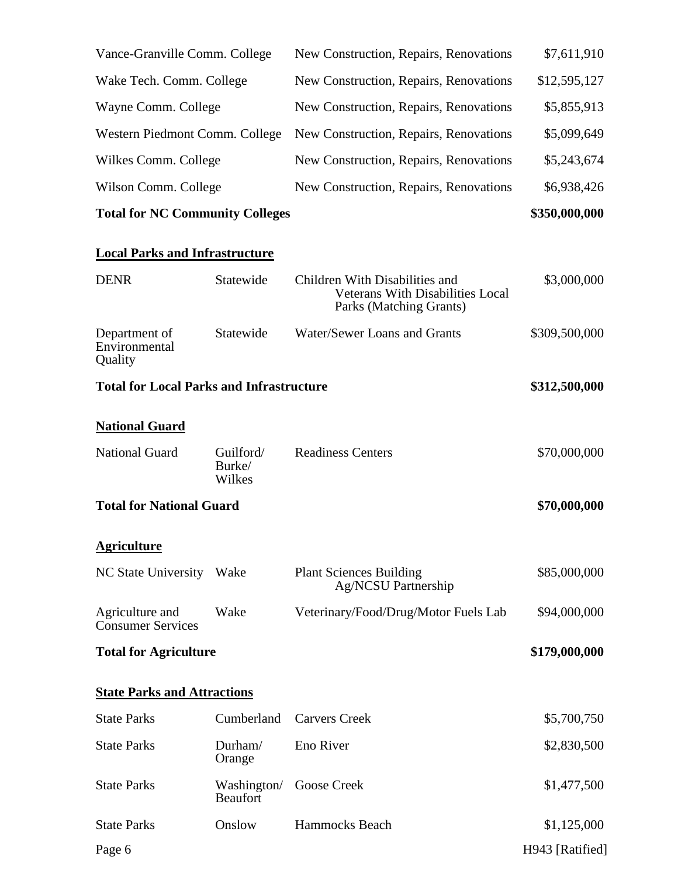| Vance-Granville Comm. College                   |                                | New Construction, Repairs, Renovations                                                               | \$7,611,910     |
|-------------------------------------------------|--------------------------------|------------------------------------------------------------------------------------------------------|-----------------|
| Wake Tech. Comm. College                        |                                | New Construction, Repairs, Renovations                                                               | \$12,595,127    |
| Wayne Comm. College                             |                                | New Construction, Repairs, Renovations                                                               | \$5,855,913     |
| Western Piedmont Comm. College                  |                                | New Construction, Repairs, Renovations                                                               | \$5,099,649     |
| Wilkes Comm. College                            |                                | New Construction, Repairs, Renovations                                                               | \$5,243,674     |
| Wilson Comm. College                            |                                | New Construction, Repairs, Renovations                                                               | \$6,938,426     |
| <b>Total for NC Community Colleges</b>          |                                |                                                                                                      | \$350,000,000   |
| <b>Local Parks and Infrastructure</b>           |                                |                                                                                                      |                 |
| <b>DENR</b>                                     | Statewide                      | Children With Disabilities and<br><b>Veterans With Disabilities Local</b><br>Parks (Matching Grants) | \$3,000,000     |
| Department of<br>Environmental<br>Quality       | Statewide                      | Water/Sewer Loans and Grants                                                                         | \$309,500,000   |
| <b>Total for Local Parks and Infrastructure</b> |                                |                                                                                                      | \$312,500,000   |
| <b>National Guard</b>                           |                                |                                                                                                      |                 |
| <b>National Guard</b>                           | Guilford/<br>Burke/<br>Wilkes  | <b>Readiness Centers</b>                                                                             | \$70,000,000    |
| <b>Total for National Guard</b>                 |                                |                                                                                                      | \$70,000,000    |
| <b>Agriculture</b>                              |                                |                                                                                                      |                 |
| <b>NC State University</b>                      | Wake                           | <b>Plant Sciences Building</b><br>Ag/NCSU Partnership                                                | \$85,000,000    |
| Agriculture and<br><b>Consumer Services</b>     | Wake                           | Veterinary/Food/Drug/Motor Fuels Lab                                                                 | \$94,000,000    |
| <b>Total for Agriculture</b>                    |                                |                                                                                                      | \$179,000,000   |
| <b>State Parks and Attractions</b>              |                                |                                                                                                      |                 |
| <b>State Parks</b>                              | Cumberland                     | <b>Carvers Creek</b>                                                                                 | \$5,700,750     |
| <b>State Parks</b>                              | Durham/<br>Orange              | Eno River                                                                                            | \$2,830,500     |
| <b>State Parks</b>                              | Washington/<br><b>Beaufort</b> | <b>Goose Creek</b>                                                                                   | \$1,477,500     |
| <b>State Parks</b>                              | Onslow                         | Hammocks Beach                                                                                       | \$1,125,000     |
| Page 6                                          |                                |                                                                                                      | H943 [Ratified] |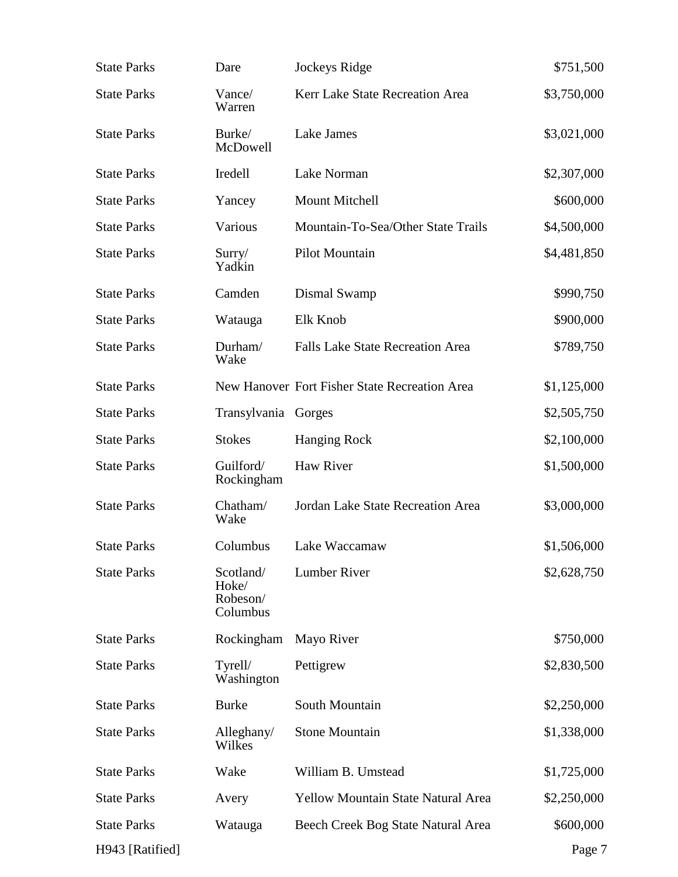| <b>State Parks</b> | Dare                                       | Jockeys Ridge                                 | \$751,500   |
|--------------------|--------------------------------------------|-----------------------------------------------|-------------|
| <b>State Parks</b> | Vance/<br>Warren                           | Kerr Lake State Recreation Area               | \$3,750,000 |
| <b>State Parks</b> | Burke/<br>McDowell                         | <b>Lake James</b>                             | \$3,021,000 |
| <b>State Parks</b> | Iredell                                    | Lake Norman                                   | \$2,307,000 |
| <b>State Parks</b> | Yancey                                     | Mount Mitchell                                | \$600,000   |
| <b>State Parks</b> | Various                                    | Mountain-To-Sea/Other State Trails            | \$4,500,000 |
| <b>State Parks</b> | Sury/<br>Yadkin                            | Pilot Mountain                                | \$4,481,850 |
| <b>State Parks</b> | Camden                                     | Dismal Swamp                                  | \$990,750   |
| <b>State Parks</b> | Watauga                                    | Elk Knob                                      | \$900,000   |
| <b>State Parks</b> | Durham/<br>Wake                            | <b>Falls Lake State Recreation Area</b>       | \$789,750   |
| <b>State Parks</b> |                                            | New Hanover Fort Fisher State Recreation Area | \$1,125,000 |
| <b>State Parks</b> | Transylvania Gorges                        |                                               | \$2,505,750 |
| <b>State Parks</b> | <b>Stokes</b>                              | <b>Hanging Rock</b>                           | \$2,100,000 |
| <b>State Parks</b> | Guilford/<br>Rockingham                    | Haw River                                     | \$1,500,000 |
| <b>State Parks</b> | Chatham/<br>Wake                           | Jordan Lake State Recreation Area             | \$3,000,000 |
| <b>State Parks</b> | Columbus                                   | Lake Waccamaw                                 | \$1,506,000 |
| <b>State Parks</b> | Scotland/<br>Hoke/<br>Robeson/<br>Columbus | <b>Lumber River</b>                           | \$2,628,750 |
| <b>State Parks</b> | Rockingham                                 | Mayo River                                    | \$750,000   |
| <b>State Parks</b> | Tyrell/<br>Washington                      | Pettigrew                                     | \$2,830,500 |
| <b>State Parks</b> | <b>Burke</b>                               | South Mountain                                | \$2,250,000 |
| <b>State Parks</b> | Alleghany/<br>Wilkes                       | <b>Stone Mountain</b>                         | \$1,338,000 |
| <b>State Parks</b> | Wake                                       | William B. Umstead                            | \$1,725,000 |
| <b>State Parks</b> | Avery                                      | <b>Yellow Mountain State Natural Area</b>     | \$2,250,000 |
| <b>State Parks</b> | Watauga                                    | Beech Creek Bog State Natural Area            | \$600,000   |
| H943 [Ratified]    |                                            |                                               | Page 7      |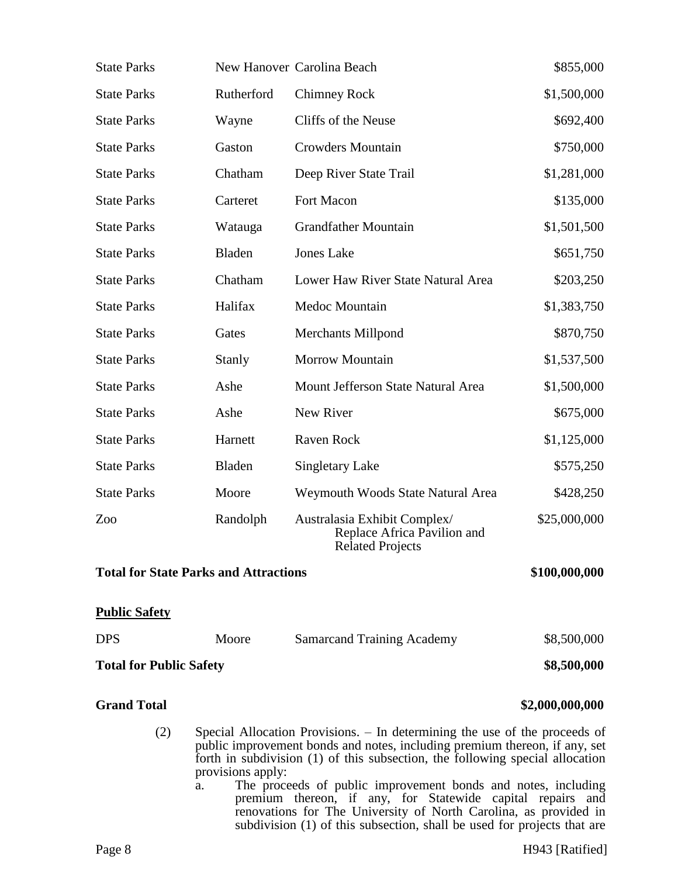| <b>State Parks</b>                                            |                                                                                                                                                                                                                                                                | New Hanover Carolina Beach                                                                                                  | \$855,000       |
|---------------------------------------------------------------|----------------------------------------------------------------------------------------------------------------------------------------------------------------------------------------------------------------------------------------------------------------|-----------------------------------------------------------------------------------------------------------------------------|-----------------|
| <b>State Parks</b>                                            | Rutherford                                                                                                                                                                                                                                                     | <b>Chimney Rock</b>                                                                                                         | \$1,500,000     |
| <b>State Parks</b>                                            | Wayne                                                                                                                                                                                                                                                          | Cliffs of the Neuse                                                                                                         | \$692,400       |
| <b>State Parks</b>                                            | Gaston                                                                                                                                                                                                                                                         | <b>Crowders Mountain</b>                                                                                                    | \$750,000       |
| <b>State Parks</b>                                            | Chatham                                                                                                                                                                                                                                                        | Deep River State Trail                                                                                                      | \$1,281,000     |
| <b>State Parks</b>                                            | Carteret                                                                                                                                                                                                                                                       | Fort Macon                                                                                                                  | \$135,000       |
| <b>State Parks</b>                                            | Watauga                                                                                                                                                                                                                                                        | <b>Grandfather Mountain</b>                                                                                                 | \$1,501,500     |
| <b>State Parks</b>                                            | Bladen                                                                                                                                                                                                                                                         | <b>Jones Lake</b>                                                                                                           | \$651,750       |
| <b>State Parks</b>                                            | Chatham                                                                                                                                                                                                                                                        | Lower Haw River State Natural Area                                                                                          | \$203,250       |
| <b>State Parks</b>                                            | Halifax                                                                                                                                                                                                                                                        | Medoc Mountain                                                                                                              | \$1,383,750     |
| <b>State Parks</b>                                            | Gates                                                                                                                                                                                                                                                          | <b>Merchants Millpond</b>                                                                                                   | \$870,750       |
| <b>State Parks</b>                                            | Stanly                                                                                                                                                                                                                                                         | <b>Morrow Mountain</b>                                                                                                      | \$1,537,500     |
| <b>State Parks</b>                                            | Ashe                                                                                                                                                                                                                                                           | Mount Jefferson State Natural Area                                                                                          | \$1,500,000     |
| <b>State Parks</b>                                            | Ashe                                                                                                                                                                                                                                                           | New River                                                                                                                   | \$675,000       |
| <b>State Parks</b>                                            | Harnett                                                                                                                                                                                                                                                        | Raven Rock                                                                                                                  | \$1,125,000     |
| <b>State Parks</b>                                            | Bladen                                                                                                                                                                                                                                                         | <b>Singletary Lake</b>                                                                                                      | \$575,250       |
| <b>State Parks</b>                                            | Moore                                                                                                                                                                                                                                                          | Weymouth Woods State Natural Area                                                                                           | \$428,250       |
| Zoo                                                           | Randolph                                                                                                                                                                                                                                                       | Australasia Exhibit Complex/<br>Replace Africa Pavilion and<br><b>Related Projects</b>                                      | \$25,000,000    |
| <b>Total for State Parks and Attractions</b><br>\$100,000,000 |                                                                                                                                                                                                                                                                |                                                                                                                             |                 |
| <b>Public Safety</b>                                          |                                                                                                                                                                                                                                                                |                                                                                                                             |                 |
| <b>DPS</b>                                                    | Moore                                                                                                                                                                                                                                                          | <b>Samarcand Training Academy</b>                                                                                           | \$8,500,000     |
| <b>Total for Public Safety</b>                                |                                                                                                                                                                                                                                                                |                                                                                                                             | \$8,500,000     |
| <b>Grand Total</b>                                            |                                                                                                                                                                                                                                                                |                                                                                                                             | \$2,000,000,000 |
| (2)                                                           | Special Allocation Provisions. – In determining the use of the proceeds of<br>public improvement bonds and notes, including premium thereon, if any, set<br>forth in subdivision (1) of this subsection, the following special allocation<br>provisions apply: |                                                                                                                             |                 |
| a.                                                            |                                                                                                                                                                                                                                                                | The proceeds of public improvement bonds and notes, including<br>premium thereon, if any, for Statewide capital repairs and |                 |

renovations for The University of North Carolina, as provided in subdivision (1) of this subsection, shall be used for projects that are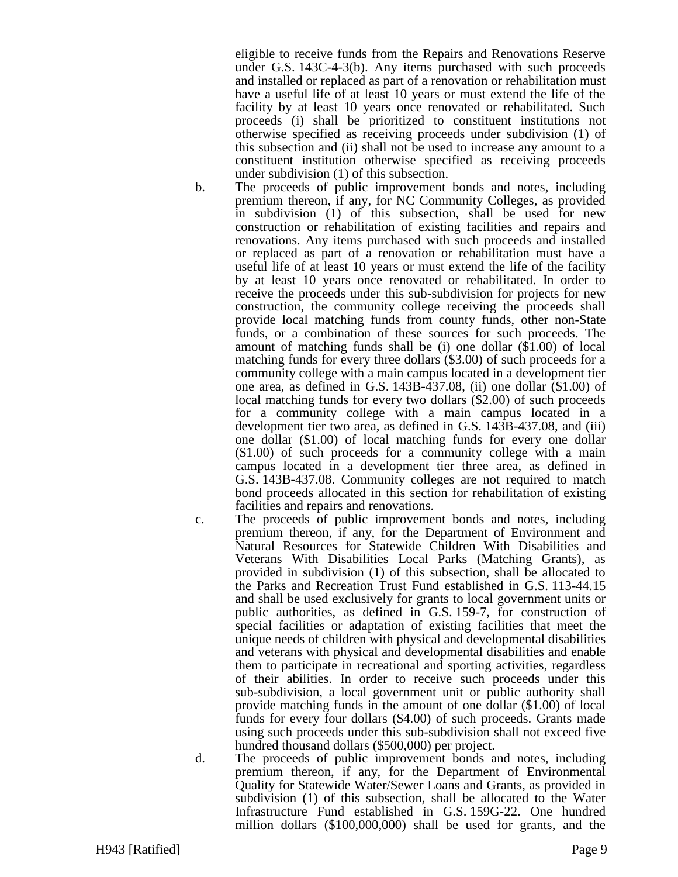eligible to receive funds from the Repairs and Renovations Reserve under G.S. 143C-4-3(b). Any items purchased with such proceeds and installed or replaced as part of a renovation or rehabilitation must have a useful life of at least 10 years or must extend the life of the facility by at least 10 years once renovated or rehabilitated. Such proceeds (i) shall be prioritized to constituent institutions not otherwise specified as receiving proceeds under subdivision (1) of this subsection and (ii) shall not be used to increase any amount to a constituent institution otherwise specified as receiving proceeds under subdivision (1) of this subsection.

- b. The proceeds of public improvement bonds and notes, including premium thereon, if any, for NC Community Colleges, as provided in subdivision (1) of this subsection, shall be used for new construction or rehabilitation of existing facilities and repairs and renovations. Any items purchased with such proceeds and installed or replaced as part of a renovation or rehabilitation must have a useful life of at least 10 years or must extend the life of the facility by at least 10 years once renovated or rehabilitated. In order to receive the proceeds under this sub-subdivision for projects for new construction, the community college receiving the proceeds shall provide local matching funds from county funds, other non-State funds, or a combination of these sources for such proceeds. The amount of matching funds shall be (i) one dollar  $(\hat{$}1.00)$  of local matching funds for every three dollars (\$3.00) of such proceeds for a community college with a main campus located in a development tier one area, as defined in G.S. 143B-437.08, (ii) one dollar (\$1.00) of local matching funds for every two dollars (\$2.00) of such proceeds for a community college with a main campus located in a development tier two area, as defined in G.S. 143B-437.08, and (iii) one dollar (\$1.00) of local matching funds for every one dollar (\$1.00) of such proceeds for a community college with a main campus located in a development tier three area, as defined in G.S. 143B-437.08. Community colleges are not required to match bond proceeds allocated in this section for rehabilitation of existing facilities and repairs and renovations.
- 

c. The proceeds of public improvement bonds and notes, including premium thereon, if any, for the Department of Environment and Natural Resources for Statewide Children With Disabilities and Veterans With Disabilities Local Parks (Matching Grants), as provided in subdivision (1) of this subsection, shall be allocated to the Parks and Recreation Trust Fund established in G.S. 113-44.15 and shall be used exclusively for grants to local government units or public authorities, as defined in G.S. 159-7, for construction of special facilities or adaptation of existing facilities that meet the unique needs of children with physical and developmental disabilities and veterans with physical and developmental disabilities and enable them to participate in recreational and sporting activities, regardless of their abilities. In order to receive such proceeds under this sub-subdivision, a local government unit or public authority shall provide matching funds in the amount of one dollar (\$1.00) of local funds for every four dollars (\$4.00) of such proceeds. Grants made using such proceeds under this sub-subdivision shall not exceed five hundred thousand dollars (\$500,000) per project.

d. The proceeds of public improvement bonds and notes, including premium thereon, if any, for the Department of Environmental Quality for Statewide Water/Sewer Loans and Grants, as provided in subdivision (1) of this subsection, shall be allocated to the Water Infrastructure Fund established in G.S. 159G-22. One hundred million dollars (\$100,000,000) shall be used for grants, and the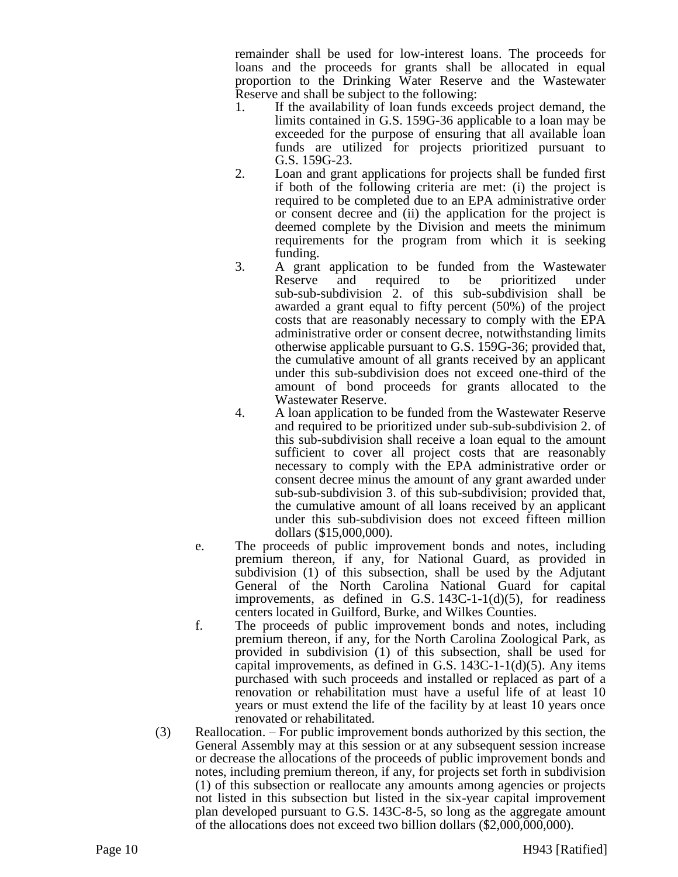remainder shall be used for low-interest loans. The proceeds for loans and the proceeds for grants shall be allocated in equal proportion to the Drinking Water Reserve and the Wastewater Reserve and shall be subject to the following:

- 1. If the availability of loan funds exceeds project demand, the limits contained in G.S. 159G-36 applicable to a loan may be exceeded for the purpose of ensuring that all available loan funds are utilized for projects prioritized pursuant to G.S. 159G-23.
- 2. Loan and grant applications for projects shall be funded first if both of the following criteria are met: (i) the project is required to be completed due to an EPA administrative order or consent decree and (ii) the application for the project is deemed complete by the Division and meets the minimum requirements for the program from which it is seeking funding.
- 3. A grant application to be funded from the Wastewater Reserve and required to be prioritized under sub-sub-subdivision 2. of this sub-subdivision shall be awarded a grant equal to fifty percent (50%) of the project costs that are reasonably necessary to comply with the EPA administrative order or consent decree, notwithstanding limits otherwise applicable pursuant to G.S. 159G-36; provided that, the cumulative amount of all grants received by an applicant under this sub-subdivision does not exceed one-third of the amount of bond proceeds for grants allocated to the Wastewater Reserve.
- 4. A loan application to be funded from the Wastewater Reserve and required to be prioritized under sub-sub-subdivision 2. of this sub-subdivision shall receive a loan equal to the amount sufficient to cover all project costs that are reasonably necessary to comply with the EPA administrative order or consent decree minus the amount of any grant awarded under sub-sub-subdivision 3. of this sub-subdivision; provided that, the cumulative amount of all loans received by an applicant under this sub-subdivision does not exceed fifteen million dollars (\$15,000,000).
- e. The proceeds of public improvement bonds and notes, including premium thereon, if any, for National Guard, as provided in subdivision (1) of this subsection, shall be used by the Adjutant General of the North Carolina National Guard for capital improvements, as defined in G.S.  $143C-1-1(d)(5)$ , for readiness centers located in Guilford, Burke, and Wilkes Counties.
- f. The proceeds of public improvement bonds and notes, including premium thereon, if any, for the North Carolina Zoological Park, as provided in subdivision (1) of this subsection, shall be used for capital improvements, as defined in G.S.  $143C-1-1(d)(5)$ . Any items purchased with such proceeds and installed or replaced as part of a renovation or rehabilitation must have a useful life of at least 10 years or must extend the life of the facility by at least 10 years once renovated or rehabilitated.
- (3) Reallocation. For public improvement bonds authorized by this section, the General Assembly may at this session or at any subsequent session increase or decrease the allocations of the proceeds of public improvement bonds and notes, including premium thereon, if any, for projects set forth in subdivision (1) of this subsection or reallocate any amounts among agencies or projects not listed in this subsection but listed in the six-year capital improvement plan developed pursuant to G.S. 143C-8-5, so long as the aggregate amount of the allocations does not exceed two billion dollars (\$2,000,000,000).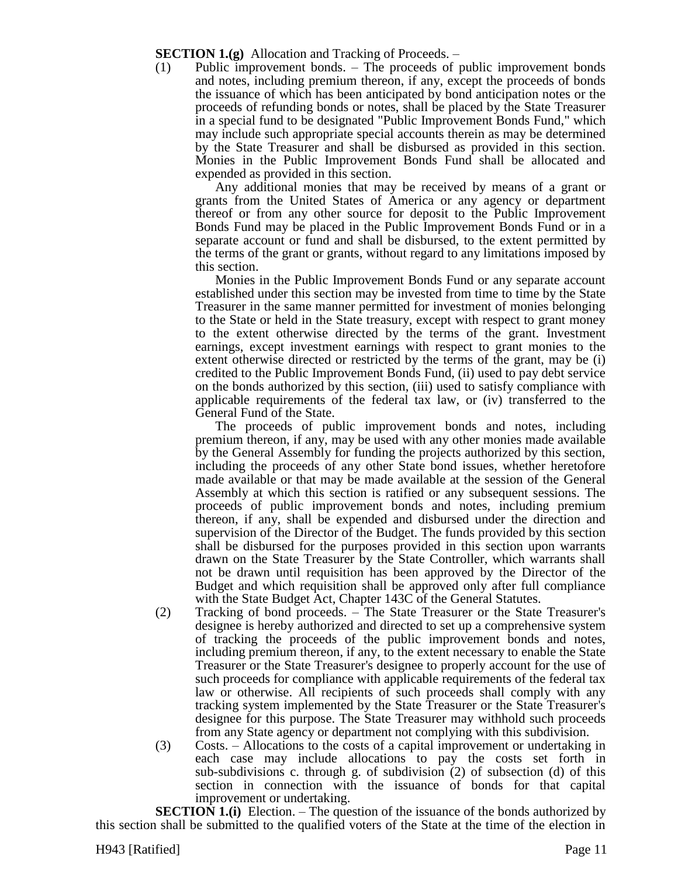**SECTION 1.(g)** Allocation and Tracking of Proceeds. –

(1) Public improvement bonds. – The proceeds of public improvement bonds and notes, including premium thereon, if any, except the proceeds of bonds the issuance of which has been anticipated by bond anticipation notes or the proceeds of refunding bonds or notes, shall be placed by the State Treasurer in a special fund to be designated "Public Improvement Bonds Fund," which may include such appropriate special accounts therein as may be determined by the State Treasurer and shall be disbursed as provided in this section. Monies in the Public Improvement Bonds Fund shall be allocated and expended as provided in this section.

Any additional monies that may be received by means of a grant or grants from the United States of America or any agency or department thereof or from any other source for deposit to the Public Improvement Bonds Fund may be placed in the Public Improvement Bonds Fund or in a separate account or fund and shall be disbursed, to the extent permitted by the terms of the grant or grants, without regard to any limitations imposed by this section.

Monies in the Public Improvement Bonds Fund or any separate account established under this section may be invested from time to time by the State Treasurer in the same manner permitted for investment of monies belonging to the State or held in the State treasury, except with respect to grant money to the extent otherwise directed by the terms of the grant. Investment earnings, except investment earnings with respect to grant monies to the extent otherwise directed or restricted by the terms of the grant, may be (i) credited to the Public Improvement Bonds Fund, (ii) used to pay debt service on the bonds authorized by this section, (iii) used to satisfy compliance with applicable requirements of the federal tax law, or (iv) transferred to the General Fund of the State.

The proceeds of public improvement bonds and notes, including premium thereon, if any, may be used with any other monies made available by the General Assembly for funding the projects authorized by this section, including the proceeds of any other State bond issues, whether heretofore made available or that may be made available at the session of the General Assembly at which this section is ratified or any subsequent sessions. The proceeds of public improvement bonds and notes, including premium thereon, if any, shall be expended and disbursed under the direction and supervision of the Director of the Budget. The funds provided by this section shall be disbursed for the purposes provided in this section upon warrants drawn on the State Treasurer by the State Controller, which warrants shall not be drawn until requisition has been approved by the Director of the Budget and which requisition shall be approved only after full compliance with the State Budget Act, Chapter 143C of the General Statutes.

- (2) Tracking of bond proceeds. The State Treasurer or the State Treasurer's designee is hereby authorized and directed to set up a comprehensive system of tracking the proceeds of the public improvement bonds and notes, including premium thereon, if any, to the extent necessary to enable the State Treasurer or the State Treasurer's designee to properly account for the use of such proceeds for compliance with applicable requirements of the federal tax law or otherwise. All recipients of such proceeds shall comply with any tracking system implemented by the State Treasurer or the State Treasurer's designee for this purpose. The State Treasurer may withhold such proceeds from any State agency or department not complying with this subdivision.
- (3) Costs. Allocations to the costs of a capital improvement or undertaking in each case may include allocations to pay the costs set forth in sub-subdivisions c. through g. of subdivision (2) of subsection (d) of this section in connection with the issuance of bonds for that capital improvement or undertaking.

**SECTION 1.(i)** Election. – The question of the issuance of the bonds authorized by this section shall be submitted to the qualified voters of the State at the time of the election in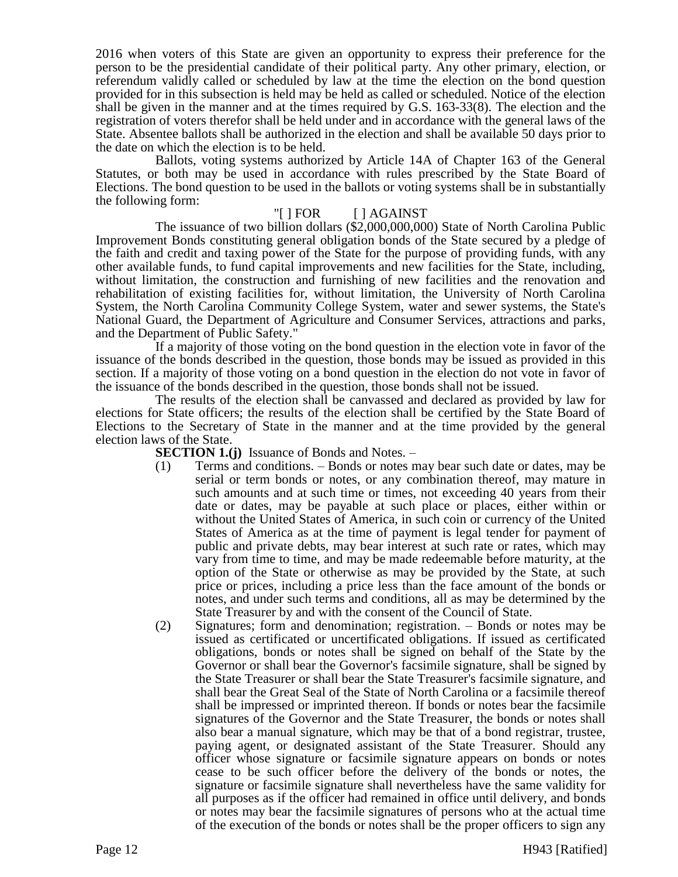2016 when voters of this State are given an opportunity to express their preference for the person to be the presidential candidate of their political party. Any other primary, election, or referendum validly called or scheduled by law at the time the election on the bond question provided for in this subsection is held may be held as called or scheduled. Notice of the election shall be given in the manner and at the times required by G.S. 163-33(8). The election and the registration of voters therefor shall be held under and in accordance with the general laws of the State. Absentee ballots shall be authorized in the election and shall be available 50 days prior to the date on which the election is to be held.

Ballots, voting systems authorized by Article 14A of Chapter 163 of the General Statutes, or both may be used in accordance with rules prescribed by the State Board of Elections. The bond question to be used in the ballots or voting systems shall be in substantially the following form:

## "[ ] FOR [ ] AGAINST

The issuance of two billion dollars (\$2,000,000,000) State of North Carolina Public Improvement Bonds constituting general obligation bonds of the State secured by a pledge of the faith and credit and taxing power of the State for the purpose of providing funds, with any other available funds, to fund capital improvements and new facilities for the State, including, without limitation, the construction and furnishing of new facilities and the renovation and rehabilitation of existing facilities for, without limitation, the University of North Carolina System, the North Carolina Community College System, water and sewer systems, the State's National Guard, the Department of Agriculture and Consumer Services, attractions and parks, and the Department of Public Safety."

If a majority of those voting on the bond question in the election vote in favor of the issuance of the bonds described in the question, those bonds may be issued as provided in this section. If a majority of those voting on a bond question in the election do not vote in favor of the issuance of the bonds described in the question, those bonds shall not be issued.

The results of the election shall be canvassed and declared as provided by law for elections for State officers; the results of the election shall be certified by the State Board of Elections to the Secretary of State in the manner and at the time provided by the general election laws of the State.

**SECTION 1.(j)** Issuance of Bonds and Notes. –

- (1) Terms and conditions. Bonds or notes may bear such date or dates, may be serial or term bonds or notes, or any combination thereof, may mature in such amounts and at such time or times, not exceeding 40 years from their date or dates, may be payable at such place or places, either within or without the United States of America, in such coin or currency of the United States of America as at the time of payment is legal tender for payment of public and private debts, may bear interest at such rate or rates, which may vary from time to time, and may be made redeemable before maturity, at the option of the State or otherwise as may be provided by the State, at such price or prices, including a price less than the face amount of the bonds or notes, and under such terms and conditions, all as may be determined by the State Treasurer by and with the consent of the Council of State.
- (2) Signatures; form and denomination; registration. Bonds or notes may be issued as certificated or uncertificated obligations. If issued as certificated obligations, bonds or notes shall be signed on behalf of the State by the Governor or shall bear the Governor's facsimile signature, shall be signed by the State Treasurer or shall bear the State Treasurer's facsimile signature, and shall bear the Great Seal of the State of North Carolina or a facsimile thereof shall be impressed or imprinted thereon. If bonds or notes bear the facsimile signatures of the Governor and the State Treasurer, the bonds or notes shall also bear a manual signature, which may be that of a bond registrar, trustee, paying agent, or designated assistant of the State Treasurer. Should any officer whose signature or facsimile signature appears on bonds or notes cease to be such officer before the delivery of the bonds or notes, the signature or facsimile signature shall nevertheless have the same validity for all purposes as if the officer had remained in office until delivery, and bonds or notes may bear the facsimile signatures of persons who at the actual time of the execution of the bonds or notes shall be the proper officers to sign any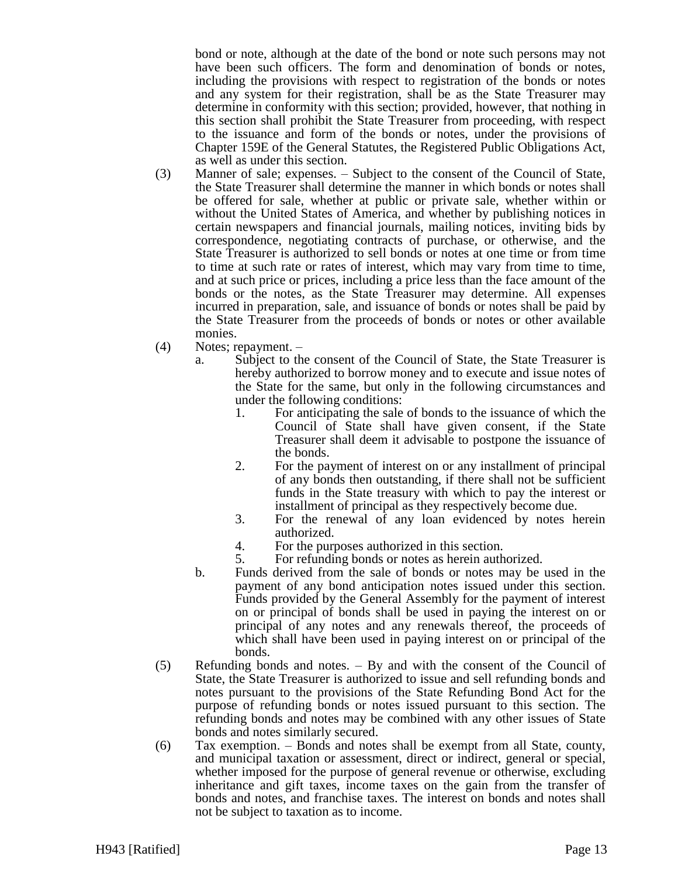bond or note, although at the date of the bond or note such persons may not have been such officers. The form and denomination of bonds or notes, including the provisions with respect to registration of the bonds or notes and any system for their registration, shall be as the State Treasurer may determine in conformity with this section; provided, however, that nothing in this section shall prohibit the State Treasurer from proceeding, with respect to the issuance and form of the bonds or notes, under the provisions of Chapter 159E of the General Statutes, the Registered Public Obligations Act, as well as under this section.

- (3) Manner of sale; expenses. Subject to the consent of the Council of State, the State Treasurer shall determine the manner in which bonds or notes shall be offered for sale, whether at public or private sale, whether within or without the United States of America, and whether by publishing notices in certain newspapers and financial journals, mailing notices, inviting bids by correspondence, negotiating contracts of purchase, or otherwise, and the State Treasurer is authorized to sell bonds or notes at one time or from time to time at such rate or rates of interest, which may vary from time to time, and at such price or prices, including a price less than the face amount of the bonds or the notes, as the State Treasurer may determine. All expenses incurred in preparation, sale, and issuance of bonds or notes shall be paid by the State Treasurer from the proceeds of bonds or notes or other available monies.
- (4) Notes; repayment.
	- a. Subject to the consent of the Council of State, the State Treasurer is hereby authorized to borrow money and to execute and issue notes of the State for the same, but only in the following circumstances and under the following conditions:
		- 1. For anticipating the sale of bonds to the issuance of which the Council of State shall have given consent, if the State Treasurer shall deem it advisable to postpone the issuance of the bonds.
		- 2. For the payment of interest on or any installment of principal of any bonds then outstanding, if there shall not be sufficient funds in the State treasury with which to pay the interest or installment of principal as they respectively become due.
		- 3. For the renewal of any loan evidenced by notes herein authorized.
		- 4. For the purposes authorized in this section.
		- 5. For refunding bonds or notes as herein authorized.
	- b. Funds derived from the sale of bonds or notes may be used in the payment of any bond anticipation notes issued under this section. Funds provided by the General Assembly for the payment of interest on or principal of bonds shall be used in paying the interest on or principal of any notes and any renewals thereof, the proceeds of which shall have been used in paying interest on or principal of the bonds.
- (5) Refunding bonds and notes. By and with the consent of the Council of State, the State Treasurer is authorized to issue and sell refunding bonds and notes pursuant to the provisions of the State Refunding Bond Act for the purpose of refunding bonds or notes issued pursuant to this section. The refunding bonds and notes may be combined with any other issues of State bonds and notes similarly secured.
- (6) Tax exemption. Bonds and notes shall be exempt from all State, county, and municipal taxation or assessment, direct or indirect, general or special, whether imposed for the purpose of general revenue or otherwise, excluding inheritance and gift taxes, income taxes on the gain from the transfer of bonds and notes, and franchise taxes. The interest on bonds and notes shall not be subject to taxation as to income.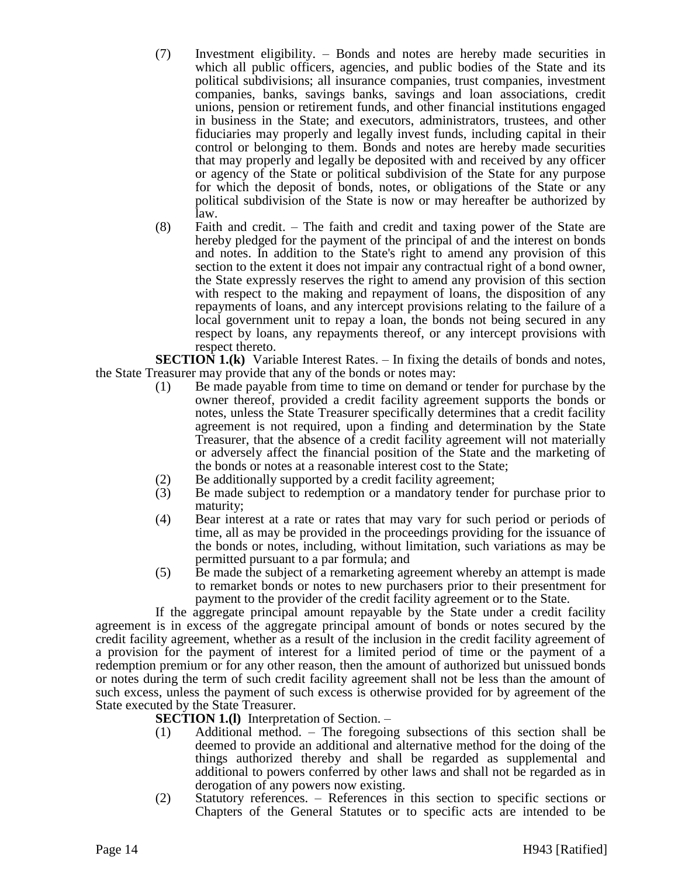- (7) Investment eligibility. Bonds and notes are hereby made securities in which all public officers, agencies, and public bodies of the State and its political subdivisions; all insurance companies, trust companies, investment companies, banks, savings banks, savings and loan associations, credit unions, pension or retirement funds, and other financial institutions engaged in business in the State; and executors, administrators, trustees, and other fiduciaries may properly and legally invest funds, including capital in their control or belonging to them. Bonds and notes are hereby made securities that may properly and legally be deposited with and received by any officer or agency of the State or political subdivision of the State for any purpose for which the deposit of bonds, notes, or obligations of the State or any political subdivision of the State is now or may hereafter be authorized by law.
- (8) Faith and credit. The faith and credit and taxing power of the State are hereby pledged for the payment of the principal of and the interest on bonds and notes. In addition to the State's right to amend any provision of this section to the extent it does not impair any contractual right of a bond owner, the State expressly reserves the right to amend any provision of this section with respect to the making and repayment of loans, the disposition of any repayments of loans, and any intercept provisions relating to the failure of a local government unit to repay a loan, the bonds not being secured in any respect by loans, any repayments thereof, or any intercept provisions with respect thereto.

**SECTION 1.(k)** Variable Interest Rates. – In fixing the details of bonds and notes, the State Treasurer may provide that any of the bonds or notes may:

- (1) Be made payable from time to time on demand or tender for purchase by the owner thereof, provided a credit facility agreement supports the bonds or notes, unless the State Treasurer specifically determines that a credit facility agreement is not required, upon a finding and determination by the State Treasurer, that the absence of a credit facility agreement will not materially or adversely affect the financial position of the State and the marketing of the bonds or notes at a reasonable interest cost to the State;
- 
- (2) Be additionally supported by a credit facility agreement;<br>(3) Be made subject to redemption or a mandatory tender f Be made subject to redemption or a mandatory tender for purchase prior to maturity;
- (4) Bear interest at a rate or rates that may vary for such period or periods of time, all as may be provided in the proceedings providing for the issuance of the bonds or notes, including, without limitation, such variations as may be permitted pursuant to a par formula; and
- (5) Be made the subject of a remarketing agreement whereby an attempt is made to remarket bonds or notes to new purchasers prior to their presentment for payment to the provider of the credit facility agreement or to the State.

If the aggregate principal amount repayable by the State under a credit facility agreement is in excess of the aggregate principal amount of bonds or notes secured by the credit facility agreement, whether as a result of the inclusion in the credit facility agreement of a provision for the payment of interest for a limited period of time or the payment of a redemption premium or for any other reason, then the amount of authorized but unissued bonds or notes during the term of such credit facility agreement shall not be less than the amount of such excess, unless the payment of such excess is otherwise provided for by agreement of the State executed by the State Treasurer.

**SECTION 1.(l)** Interpretation of Section. –

- (1) Additional method. The foregoing subsections of this section shall be deemed to provide an additional and alternative method for the doing of the things authorized thereby and shall be regarded as supplemental and additional to powers conferred by other laws and shall not be regarded as in derogation of any powers now existing.
- (2) Statutory references. References in this section to specific sections or Chapters of the General Statutes or to specific acts are intended to be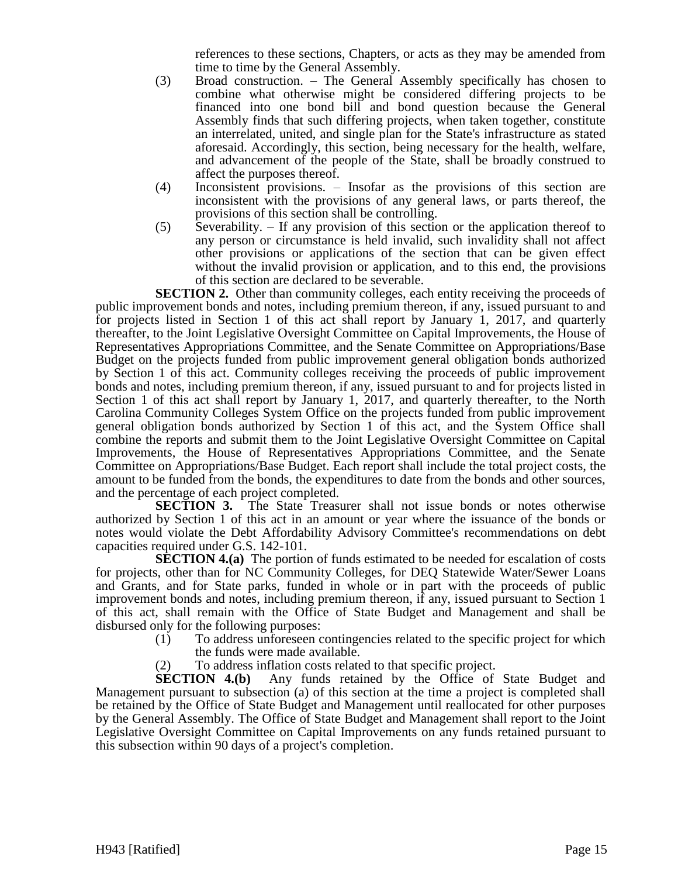references to these sections, Chapters, or acts as they may be amended from time to time by the General Assembly.

- (3) Broad construction. The General Assembly specifically has chosen to combine what otherwise might be considered differing projects to be financed into one bond bill and bond question because the General Assembly finds that such differing projects, when taken together, constitute an interrelated, united, and single plan for the State's infrastructure as stated aforesaid. Accordingly, this section, being necessary for the health, welfare, and advancement of the people of the State, shall be broadly construed to affect the purposes thereof.
- (4) Inconsistent provisions. Insofar as the provisions of this section are inconsistent with the provisions of any general laws, or parts thereof, the provisions of this section shall be controlling.
- (5) Severability. If any provision of this section or the application thereof to any person or circumstance is held invalid, such invalidity shall not affect other provisions or applications of the section that can be given effect without the invalid provision or application, and to this end, the provisions of this section are declared to be severable.

**SECTION 2.** Other than community colleges, each entity receiving the proceeds of public improvement bonds and notes, including premium thereon, if any, issued pursuant to and for projects listed in Section 1 of this act shall report by January 1, 2017, and quarterly thereafter, to the Joint Legislative Oversight Committee on Capital Improvements, the House of Representatives Appropriations Committee, and the Senate Committee on Appropriations/Base Budget on the projects funded from public improvement general obligation bonds authorized by Section 1 of this act. Community colleges receiving the proceeds of public improvement bonds and notes, including premium thereon, if any, issued pursuant to and for projects listed in Section 1 of this act shall report by January 1, 2017, and quarterly thereafter, to the North Carolina Community Colleges System Office on the projects funded from public improvement general obligation bonds authorized by Section 1 of this act, and the System Office shall combine the reports and submit them to the Joint Legislative Oversight Committee on Capital Improvements, the House of Representatives Appropriations Committee, and the Senate Committee on Appropriations/Base Budget. Each report shall include the total project costs, the amount to be funded from the bonds, the expenditures to date from the bonds and other sources, and the percentage of each project completed.

**SECTION 3.** The State Treasurer shall not issue bonds or notes otherwise authorized by Section 1 of this act in an amount or year where the issuance of the bonds or notes would violate the Debt Affordability Advisory Committee's recommendations on debt capacities required under G.S. 142-101.

**SECTION 4.(a)** The portion of funds estimated to be needed for escalation of costs for projects, other than for NC Community Colleges, for DEQ Statewide Water/Sewer Loans and Grants, and for State parks, funded in whole or in part with the proceeds of public improvement bonds and notes, including premium thereon, if any, issued pursuant to Section 1 of this act, shall remain with the Office of State Budget and Management and shall be disbursed only for the following purposes:

- (1) To address unforeseen contingencies related to the specific project for which the funds were made available.
- (2) To address inflation costs related to that specific project.

**SECTION 4.(b)** Any funds retained by the Office of State Budget and Management pursuant to subsection (a) of this section at the time a project is completed shall be retained by the Office of State Budget and Management until reallocated for other purposes by the General Assembly. The Office of State Budget and Management shall report to the Joint Legislative Oversight Committee on Capital Improvements on any funds retained pursuant to this subsection within 90 days of a project's completion.